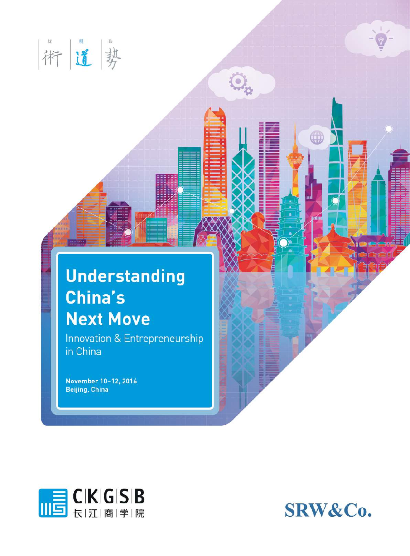

## **Understanding** China's **Next Move**

 $\mathbb{Q}_{p}$ 

Innovation & Entrepreneurship in China

November 10-12, 2016 **Beijing, China** 



SRW&Co.

**OD**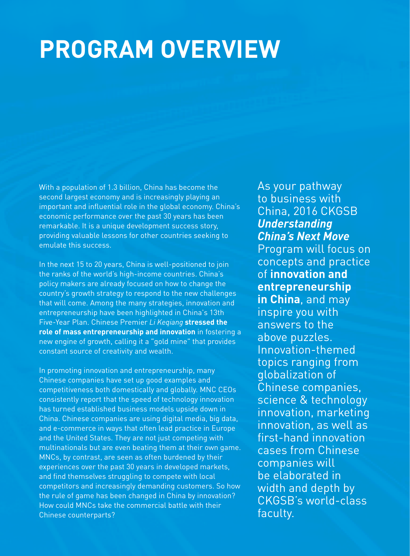# **PROGRAM OVERVIEW**

With a population of 1.3 billion, China has become the second largest economy and is increasingly playing an important and influential role in the global economy. China's economic performance over the past 30 years has been remarkable. It is a unique development success story, providing valuable lessons for other countries seeking to emulate this success.

In the next 15 to 20 years, China is well-positioned to join the ranks of the world's high-income countries. China's policy makers are already focused on how to change the country's growth strategy to respond to the new challenges that will come. Among the many strategies, innovation and entrepreneurship have been highlighted in China's 13th Five-Year Plan. Chinese Premier *Li Keqiang* **stressed the role of mass entrepreneurship and innovation** in fostering a new engine of growth, calling it a "gold mine" that provides constant source of creativity and wealth.

In promoting innovation and entrepreneurship, many Chinese companies have set up good examples and competitiveness both domestically and globally. MNC CEOs consistently report that the speed of technology innovation has turned established business models upside down in China. Chinese companies are using digital media, big data, and e-commerce in ways that often lead practice in Europe and the United States. They are not just competing with multinationals but are even beating them at their own game. MNCs, by contrast, are seen as often burdened by their experiences over the past 30 years in developed markets, and find themselves struggling to compete with local competitors and increasingly demanding customers. So how the rule of game has been changed in China by innovation? How could MNCs take the commercial battle with their Chinese counterparts?

As your pathway to business with China, 2016 CKGSB *Understanding China's Next Move* Program will focus on concepts and practice of **innovation and entrepreneurship in China**, and may inspire you with answers to the above puzzles. Innovation-themed topics ranging from globalization of Chinese companies, science & technology innovation, marketing innovation, as well as first-hand innovation cases from Chinese companies will be elaborated in width and depth by CKGSB's world-class faculty.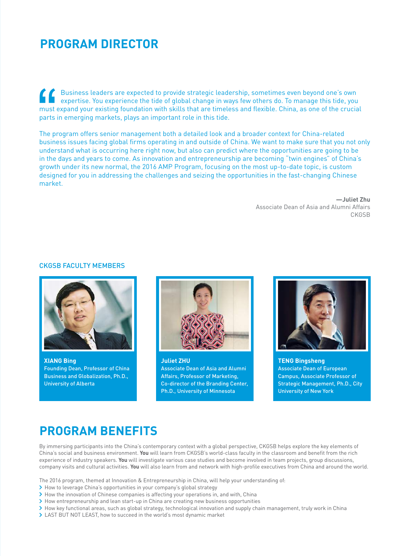### **PROGRAM DIRECTOR**

Business leaders are expected to provide strategic leadership, sometimes even beyond one's own expertise. You experience the tide of global change in ways few others do. To manage this tide, you must expand your existing foundation with skills that are timeless and flexible. China, as one of the crucial parts in emerging markets, plays an important role in this tide.

The program offers senior management both a detailed look and a broader context for China-related business issues facing global firms operating in and outside of China. We want to make sure that you not only understand what is occurring here right now, but also can predict where the opportunities are going to be in the days and years to come. As innovation and entrepreneurship are becoming "twin engines" of China's growth under its new normal, the 2016 AMP Program, focusing on the most up-to-date topic, is custom designed for you in addressing the challenges and seizing the opportunities in the fast-changing Chinese market.

> **—Juliet Zhu**  Associate Dean of Asia and Alumni Affairs CKGSB

#### **CKGSB FACULTY MEMBERS**



**XIANG Bing** Founding Dean, Professor of China Business and Globalization, Ph.D., University of Alberta



**Juliet ZHU** Associate Dean of Asia and Alumni Affairs, Professor of Marketing, Co-director of the Branding Center, Ph.D., University of Minnesota



**TENG Bingsheng** Associate Dean of European Campus, Associate Professor of Strategic Management, Ph.D., City University of New York

### **PROGRAM BENEFITS**

By immersing participants into the China's contemporary context with a global perspective, CKGSB helps explore the key elements of China's social and business environment. **You** will learn from CKGSB's world-class faculty in the classroom and benefit from the rich experience of industry speakers. **You** will investigate various case studies and become involved in team projects, group discussions, company visits and cultural activities. **You** will also learn from and network with high-profile executives from China and around the world.

The 2016 program, themed at Innovation & Entrepreneurship in China, will help your understanding of:

- > How to leverage China's opportunities in your company's global strategy
- I How the innovation of Chinese companies is affecting your operations in, and with, China
- > How entrepreneurship and lean start-up in China are creating new business opportunities
- > How key functional areas, such as global strategy, technological innovation and supply chain management, truly work in China
- > LAST BUT NOT LEAST, how to succeed in the world's most dynamic market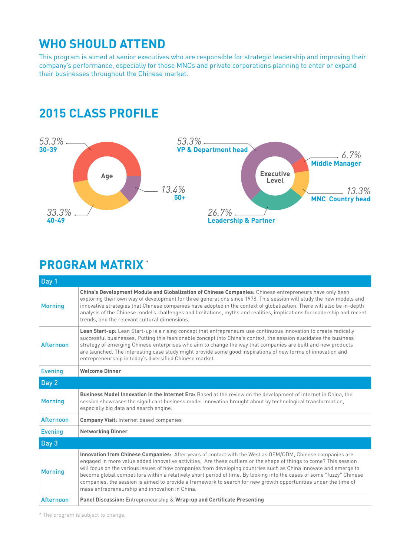### **WHO SHOULD ATTEND**

This program is aimed at senior executives who are responsible for strategic leadership and improving their company's performance, especially for those MNCs and private corporations planning to enter or expand their businesses throughout the Chinese market.

### **2015 CLASS PROFILE**



### **PROGRAM MATRIX**  \*

| Day 1            |                                                                                                                                                                                                                                                                                                                                                                                                                                                                                                                                                                                                                                                   |  |
|------------------|---------------------------------------------------------------------------------------------------------------------------------------------------------------------------------------------------------------------------------------------------------------------------------------------------------------------------------------------------------------------------------------------------------------------------------------------------------------------------------------------------------------------------------------------------------------------------------------------------------------------------------------------------|--|
| <b>Morning</b>   | China's Development Module and Globalization of Chinese Companies: Chinese entrepreneurs have only been<br>exploring their own way of development for three generations since 1978. This session will study the new models and<br>innovative strategies that Chinese companies have adopted in the context of globalization. There will also be in-depth<br>analysis of the Chinese model's challenges and limitations, myths and realities, implications for leadership and recent<br>trends, and the relevant cultural dimensions.                                                                                                              |  |
| <b>Afternoon</b> | Lean Start-up: Lean Start-up is a rising concept that entrepreneurs use continuous innovation to create radically<br>successful businesses. Putting this fashionable concept into China's context, the session elucidates the business<br>strategy of emerging Chinese enterprises who aim to change the way that companies are built and new products<br>are launched. The interesting case study might provide some good inspirations of new forms of innovation and<br>entrepreneurship in today's diversified Chinese market.                                                                                                                 |  |
| <b>Evening</b>   | <b>Welcome Dinner</b>                                                                                                                                                                                                                                                                                                                                                                                                                                                                                                                                                                                                                             |  |
| Day 2            |                                                                                                                                                                                                                                                                                                                                                                                                                                                                                                                                                                                                                                                   |  |
| <b>Morning</b>   | Business Model Innovation in the Internet Era: Based at the review on the development of internet in China, the<br>session showcases the significant business model innovation brought about by technological transformation,<br>especially big data and search engine.                                                                                                                                                                                                                                                                                                                                                                           |  |
| <b>Afternoon</b> | <b>Company Visit: Internet based companies</b>                                                                                                                                                                                                                                                                                                                                                                                                                                                                                                                                                                                                    |  |
| <b>Evening</b>   | <b>Networking Dinner</b>                                                                                                                                                                                                                                                                                                                                                                                                                                                                                                                                                                                                                          |  |
| Day 3            |                                                                                                                                                                                                                                                                                                                                                                                                                                                                                                                                                                                                                                                   |  |
| <b>Morning</b>   | Innovation from Chinese Companies: After years of contact with the West as OEM/ODM, Chinese companies are<br>engaged in more value added innovative activities. Are these outliers or the shape of things to come? This session<br>will focus on the various issues of how companies from developing countries such as China innovate and emerge to<br>become global competitors within a relatively short period of time. By looking into the cases of some "fuzzy" Chinese<br>companies, the session is aimed to provide a framework to search for new growth opportunities under the time of<br>mass entrepreneurship and innovation in China. |  |
| <b>Afternoon</b> | Panel Discussion: Entrepreneurship & Wrap-up and Certificate Presenting                                                                                                                                                                                                                                                                                                                                                                                                                                                                                                                                                                           |  |

\* The program is subject to change.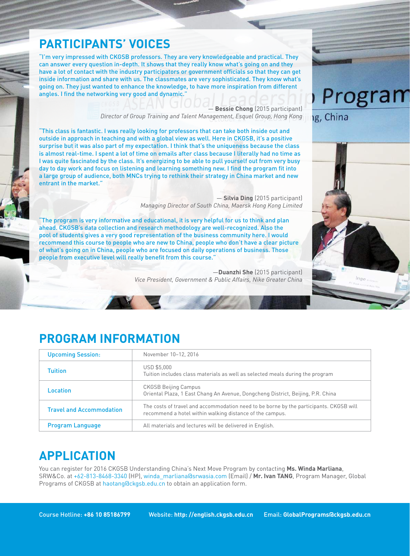### **PARTICIPANTS' VOICES**

"I'm very impressed with CKGSB professors. They are very knowledgeable and practical. They can answer every question in-depth. It shows that they really know what's going on and they have a lot of contact with the industry participators or government officials so that they can get inside information and share with us. The classmates are very sophisticated. They know what's going on. They just wanted to enhance the knowledge, to have more inspiration from different angles. I find the networking very good and dynamic."

> — **Bessie Chong** (2015 participant) *Director of Group Training and Talent Management, Esquel Group, Hong Kong*

"This class is fantastic. I was really looking for professors that can take both inside out and outside in approach in teaching and with a global view as well. Here in CKGSB, it's a positive surprise but it was also part of my expectation. I think that's the uniqueness because the class is almost real-time. I spent a lot of time on emails after class because I literally had no time as I was quite fascinated by the class. It's energizing to be able to pull yourself out from very busy day to day work and focus on listening and learning something new. I find the program fit into a large group of audience, both MNCs trying to rethink their strategy in China market and new entrant in the market."

> — **Silvia Ding** (2015 participant) *Managing Director of South China, Maersk Hong Kong Limited*

"The program is very informative and educational, it is very helpful for us to think and plan ahead. CKGSB's data collection and research methodology are well-recognized. Also the pool of students gives a very good representation of the business community here. I would recommend this course to people who are new to China, people who don't have a clear picture of what's going on in China, people who are focused on daily operations of business. Those people from executive level will really benefit from this course."

> —**Duanzhi She** (2015 participant) *Vice President, Government & Public Affairs, Nike Greater China*



g, China



### **PROGRAM INFORMATION**

| <b>Upcoming Session:</b>        | November 10-12, 2016                                                                                                                               |
|---------------------------------|----------------------------------------------------------------------------------------------------------------------------------------------------|
| Tuition                         | <b>USD \$5,000</b><br>Tuition includes class materials as well as selected meals during the program                                                |
| Location                        | <b>CKGSB Beijing Campus</b><br>Oriental Plaza, 1 East Chang An Avenue, Dongcheng District, Beijing, P.R. China                                     |
| <b>Travel and Accommodation</b> | The costs of travel and accommodation need to be borne by the participants. CKGSB will<br>recommend a hotel within walking distance of the campus. |
| <b>Program Language</b>         | All materials and lectures will be delivered in English.                                                                                           |

### **APPLICATION**

You can register for 2016 CKGSB Understanding China's Next Move Program by contacting **Ms. Winda Marliana**, SRW&Co. at +62-813-8468-3340 (HP), winda\_marliana@srwasia.com (Email) / **Mr. Ivan TANG**, Program Manager, Global Programs of CKGSB at haotang@ckgsb.edu.cn to obtain an application form.